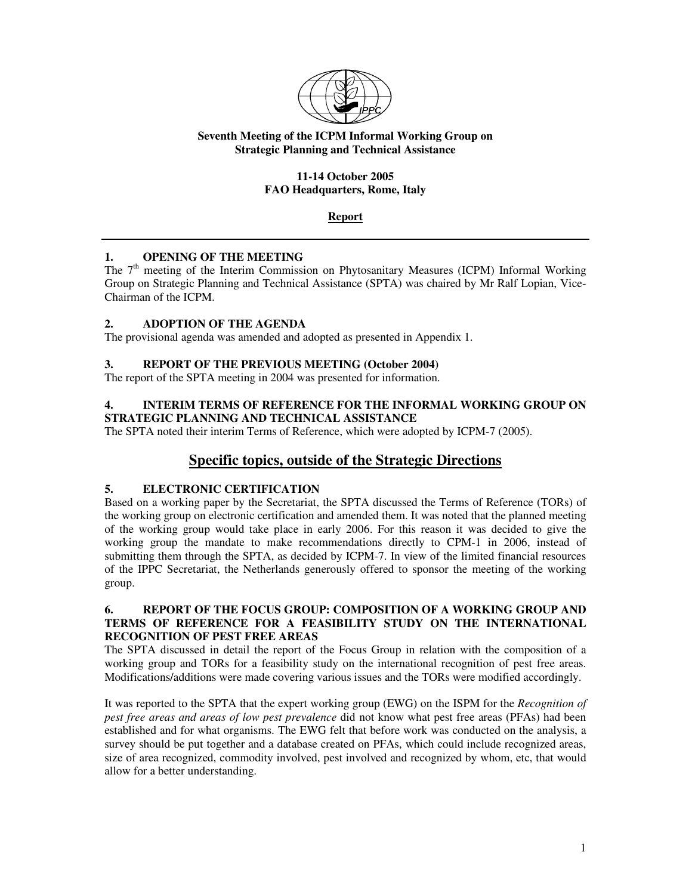

## **Seventh Meeting of the ICPM Informal Working Group on Strategic Planning and Technical Assistance**

#### **11-14 October 2005 FAO Headquarters, Rome, Italy**

#### **Report**

## **1. OPENING OF THE MEETING**

The  $7<sup>th</sup>$  meeting of the Interim Commission on Phytosanitary Measures (ICPM) Informal Working Group on Strategic Planning and Technical Assistance (SPTA) was chaired by Mr Ralf Lopian, Vice-Chairman of the ICPM.

#### **2. ADOPTION OF THE AGENDA**

The provisional agenda was amended and adopted as presented in Appendix 1.

#### **3. REPORT OF THE PREVIOUS MEETING (October 2004)**

The report of the SPTA meeting in 2004 was presented for information.

#### **4. INTERIM TERMS OF REFERENCE FOR THE INFORMAL WORKING GROUP ON STRATEGIC PLANNING AND TECHNICAL ASSISTANCE**

The SPTA noted their interim Terms of Reference, which were adopted by ICPM-7 (2005).

# **Specific topics, outside of the Strategic Directions**

## **5. ELECTRONIC CERTIFICATION**

Based on a working paper by the Secretariat, the SPTA discussed the Terms of Reference (TORs) of the working group on electronic certification and amended them. It was noted that the planned meeting of the working group would take place in early 2006. For this reason it was decided to give the working group the mandate to make recommendations directly to CPM-1 in 2006, instead of submitting them through the SPTA, as decided by ICPM-7. In view of the limited financial resources of the IPPC Secretariat, the Netherlands generously offered to sponsor the meeting of the working group.

#### **6. REPORT OF THE FOCUS GROUP: COMPOSITION OF A WORKING GROUP AND TERMS OF REFERENCE FOR A FEASIBILITY STUDY ON THE INTERNATIONAL RECOGNITION OF PEST FREE AREAS**

The SPTA discussed in detail the report of the Focus Group in relation with the composition of a working group and TORs for a feasibility study on the international recognition of pest free areas. Modifications/additions were made covering various issues and the TORs were modified accordingly.

It was reported to the SPTA that the expert working group (EWG) on the ISPM for the *Recognition of pest free areas and areas of low pest prevalence* did not know what pest free areas (PFAs) had been established and for what organisms. The EWG felt that before work was conducted on the analysis, a survey should be put together and a database created on PFAs, which could include recognized areas, size of area recognized, commodity involved, pest involved and recognized by whom, etc, that would allow for a better understanding.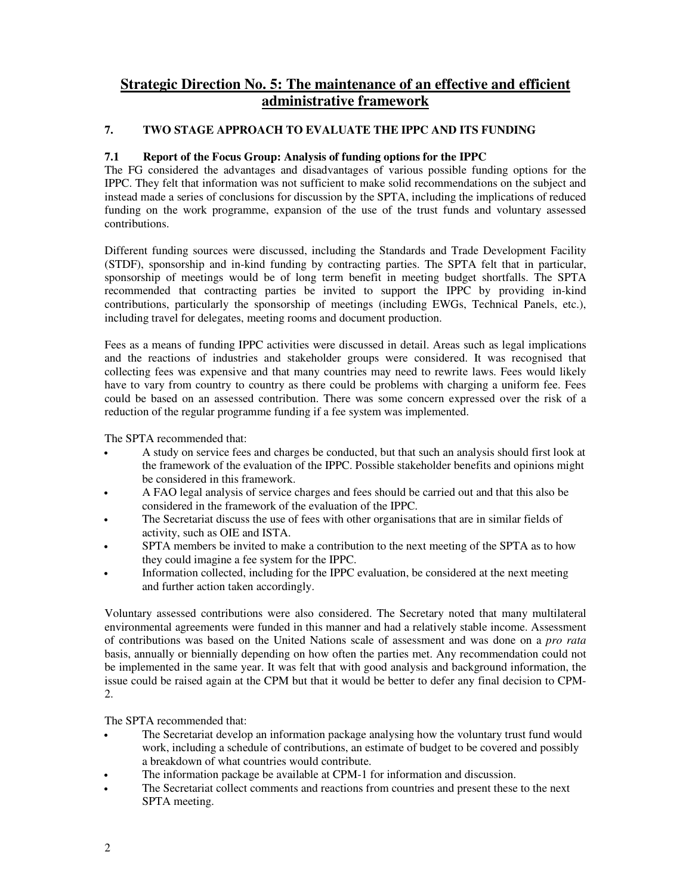# **Strategic Direction No. 5: The maintenance of an effective and efficient administrative framework**

## **7. TWO STAGE APPROACH TO EVALUATE THE IPPC AND ITS FUNDING**

#### **7.1 Report of the Focus Group: Analysis of funding options for the IPPC**

The FG considered the advantages and disadvantages of various possible funding options for the IPPC. They felt that information was not sufficient to make solid recommendations on the subject and instead made a series of conclusions for discussion by the SPTA, including the implications of reduced funding on the work programme, expansion of the use of the trust funds and voluntary assessed contributions.

Different funding sources were discussed, including the Standards and Trade Development Facility (STDF), sponsorship and in-kind funding by contracting parties. The SPTA felt that in particular, sponsorship of meetings would be of long term benefit in meeting budget shortfalls. The SPTA recommended that contracting parties be invited to support the IPPC by providing in-kind contributions, particularly the sponsorship of meetings (including EWGs, Technical Panels, etc.), including travel for delegates, meeting rooms and document production.

Fees as a means of funding IPPC activities were discussed in detail. Areas such as legal implications and the reactions of industries and stakeholder groups were considered. It was recognised that collecting fees was expensive and that many countries may need to rewrite laws. Fees would likely have to vary from country to country as there could be problems with charging a uniform fee. Fees could be based on an assessed contribution. There was some concern expressed over the risk of a reduction of the regular programme funding if a fee system was implemented.

The SPTA recommended that:

- A study on service fees and charges be conducted, but that such an analysis should first look at the framework of the evaluation of the IPPC. Possible stakeholder benefits and opinions might be considered in this framework.
- A FAO legal analysis of service charges and fees should be carried out and that this also be considered in the framework of the evaluation of the IPPC.
- The Secretariat discuss the use of fees with other organisations that are in similar fields of activity, such as OIE and ISTA.
- SPTA members be invited to make a contribution to the next meeting of the SPTA as to how they could imagine a fee system for the IPPC.
- Information collected, including for the IPPC evaluation, be considered at the next meeting and further action taken accordingly.

Voluntary assessed contributions were also considered. The Secretary noted that many multilateral environmental agreements were funded in this manner and had a relatively stable income. Assessment of contributions was based on the United Nations scale of assessment and was done on a *pro rata* basis, annually or biennially depending on how often the parties met. Any recommendation could not be implemented in the same year. It was felt that with good analysis and background information, the issue could be raised again at the CPM but that it would be better to defer any final decision to CPM-2.

The SPTA recommended that:

- The Secretariat develop an information package analysing how the voluntary trust fund would work, including a schedule of contributions, an estimate of budget to be covered and possibly a breakdown of what countries would contribute.
- The information package be available at CPM-1 for information and discussion.
- The Secretariat collect comments and reactions from countries and present these to the next SPTA meeting.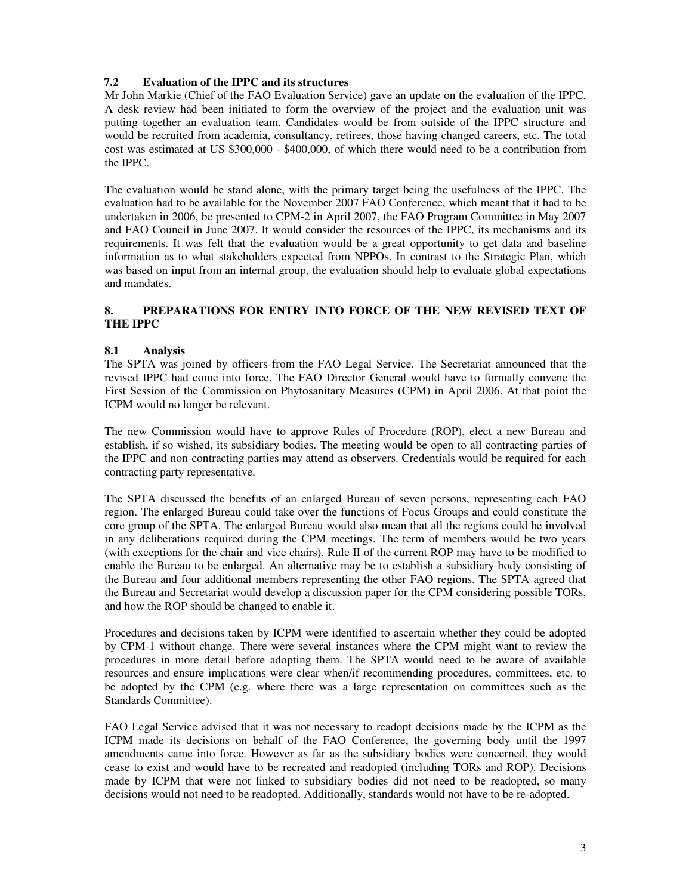## **7.2 Evaluation of the IPPC and its structures**

Mr John Markie (Chief of the FAO Evaluation Service) gave an update on the evaluation of the IPPC. A desk review had been initiated to form the overview of the project and the evaluation unit was putting together an evaluation team. Candidates would be from outside of the IPPC structure and would be recruited from academia, consultancy, retirees, those having changed careers, etc. The total cost was estimated at US \$300,000 - \$400,000, of which there would need to be a contribution from the IPPC.

The evaluation would be stand alone, with the primary target being the usefulness of the IPPC. The evaluation had to be available for the November 2007 FAO Conference, which meant that it had to be undertaken in 2006, be presented to CPM-2 in April 2007, the FAO Program Committee in May 2007 and FAO Council in June 2007. It would consider the resources of the IPPC, its mechanisms and its requirements. It was felt that the evaluation would be a great opportunity to get data and baseline information as to what stakeholders expected from NPPOs. In contrast to the Strategic Plan, which was based on input from an internal group, the evaluation should help to evaluate global expectations and mandates.

## **8. PREPARATIONS FOR ENTRY INTO FORCE OF THE NEW REVISED TEXT OF THE IPPC**

#### **8.1 Analysis**

The SPTA was joined by officers from the FAO Legal Service. The Secretariat announced that the revised IPPC had come into force. The FAO Director General would have to formally convene the First Session of the Commission on Phytosanitary Measures (CPM) in April 2006. At that point the ICPM would no longer be relevant.

The new Commission would have to approve Rules of Procedure (ROP), elect a new Bureau and establish, if so wished, its subsidiary bodies. The meeting would be open to all contracting parties of the IPPC and non-contracting parties may attend as observers. Credentials would be required for each contracting party representative.

The SPTA discussed the benefits of an enlarged Bureau of seven persons, representing each FAO region. The enlarged Bureau could take over the functions of Focus Groups and could constitute the core group of the SPTA. The enlarged Bureau would also mean that all the regions could be involved in any deliberations required during the CPM meetings. The term of members would be two years (with exceptions for the chair and vice chairs). Rule II of the current ROP may have to be modified to enable the Bureau to be enlarged. An alternative may be to establish a subsidiary body consisting of the Bureau and four additional members representing the other FAO regions. The SPTA agreed that the Bureau and Secretariat would develop a discussion paper for the CPM considering possible TORs, and how the ROP should be changed to enable it.

Procedures and decisions taken by ICPM were identified to ascertain whether they could be adopted by CPM-1 without change. There were several instances where the CPM might want to review the procedures in more detail before adopting them. The SPTA would need to be aware of available resources and ensure implications were clear when/if recommending procedures, committees, etc. to be adopted by the CPM (e.g. where there was a large representation on committees such as the Standards Committee).

FAO Legal Service advised that it was not necessary to readopt decisions made by the ICPM as the ICPM made its decisions on behalf of the FAO Conference, the governing body until the 1997 amendments came into force. However as far as the subsidiary bodies were concerned, they would cease to exist and would have to be recreated and readopted (including TORs and ROP). Decisions made by ICPM that were not linked to subsidiary bodies did not need to be readopted, so many decisions would not need to be readopted. Additionally, standards would not have to be re-adopted.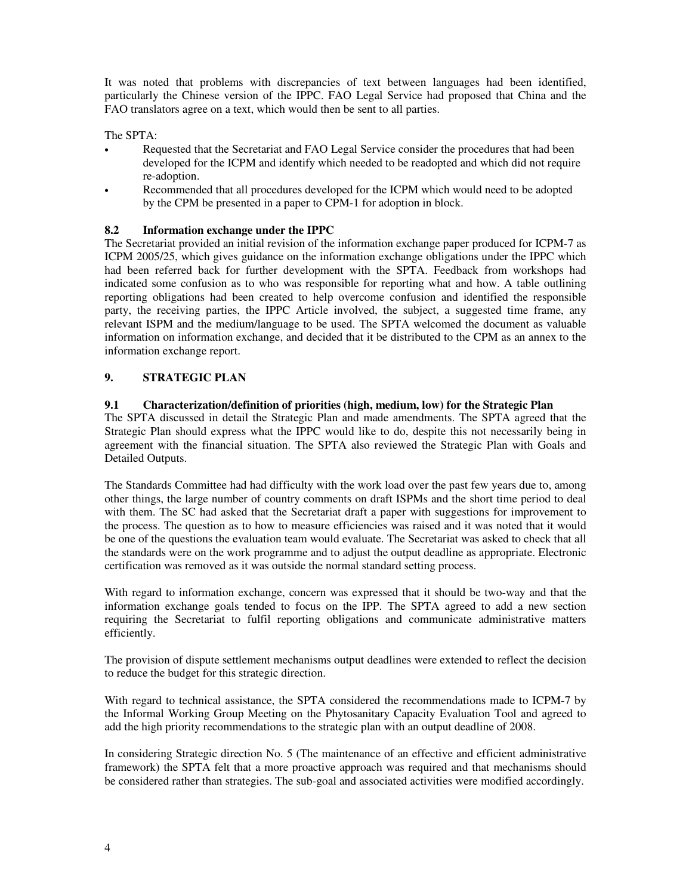It was noted that problems with discrepancies of text between languages had been identified, particularly the Chinese version of the IPPC. FAO Legal Service had proposed that China and the FAO translators agree on a text, which would then be sent to all parties.

#### The SPTA:

- Requested that the Secretariat and FAO Legal Service consider the procedures that had been developed for the ICPM and identify which needed to be readopted and which did not require re-adoption.
- Recommended that all procedures developed for the ICPM which would need to be adopted by the CPM be presented in a paper to CPM-1 for adoption in block.

#### **8.2 Information exchange under the IPPC**

The Secretariat provided an initial revision of the information exchange paper produced for ICPM-7 as ICPM 2005/25, which gives guidance on the information exchange obligations under the IPPC which had been referred back for further development with the SPTA. Feedback from workshops had indicated some confusion as to who was responsible for reporting what and how. A table outlining reporting obligations had been created to help overcome confusion and identified the responsible party, the receiving parties, the IPPC Article involved, the subject, a suggested time frame, any relevant ISPM and the medium/language to be used. The SPTA welcomed the document as valuable information on information exchange, and decided that it be distributed to the CPM as an annex to the information exchange report.

#### **9. STRATEGIC PLAN**

#### **9.1 Characterization/definition of priorities (high, medium, low) for the Strategic Plan**

The SPTA discussed in detail the Strategic Plan and made amendments. The SPTA agreed that the Strategic Plan should express what the IPPC would like to do, despite this not necessarily being in agreement with the financial situation. The SPTA also reviewed the Strategic Plan with Goals and Detailed Outputs.

The Standards Committee had had difficulty with the work load over the past few years due to, among other things, the large number of country comments on draft ISPMs and the short time period to deal with them. The SC had asked that the Secretariat draft a paper with suggestions for improvement to the process. The question as to how to measure efficiencies was raised and it was noted that it would be one of the questions the evaluation team would evaluate. The Secretariat was asked to check that all the standards were on the work programme and to adjust the output deadline as appropriate. Electronic certification was removed as it was outside the normal standard setting process.

With regard to information exchange, concern was expressed that it should be two-way and that the information exchange goals tended to focus on the IPP. The SPTA agreed to add a new section requiring the Secretariat to fulfil reporting obligations and communicate administrative matters efficiently.

The provision of dispute settlement mechanisms output deadlines were extended to reflect the decision to reduce the budget for this strategic direction.

With regard to technical assistance, the SPTA considered the recommendations made to ICPM-7 by the Informal Working Group Meeting on the Phytosanitary Capacity Evaluation Tool and agreed to add the high priority recommendations to the strategic plan with an output deadline of 2008.

In considering Strategic direction No. 5 (The maintenance of an effective and efficient administrative framework) the SPTA felt that a more proactive approach was required and that mechanisms should be considered rather than strategies. The sub-goal and associated activities were modified accordingly.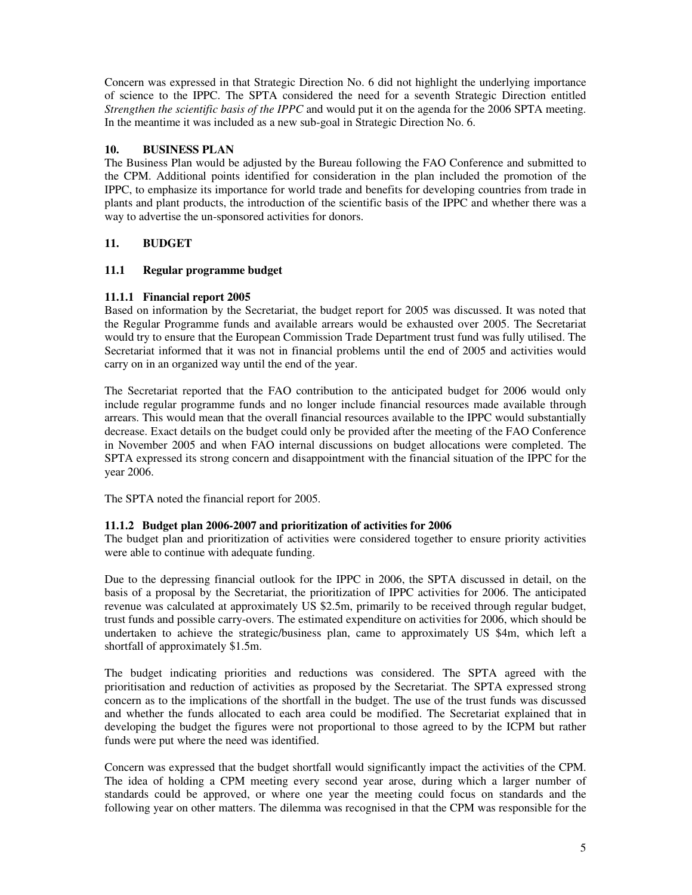Concern was expressed in that Strategic Direction No. 6 did not highlight the underlying importance of science to the IPPC. The SPTA considered the need for a seventh Strategic Direction entitled *Strengthen the scientific basis of the IPPC* and would put it on the agenda for the 2006 SPTA meeting. In the meantime it was included as a new sub-goal in Strategic Direction No. 6.

## **10. BUSINESS PLAN**

The Business Plan would be adjusted by the Bureau following the FAO Conference and submitted to the CPM. Additional points identified for consideration in the plan included the promotion of the IPPC, to emphasize its importance for world trade and benefits for developing countries from trade in plants and plant products, the introduction of the scientific basis of the IPPC and whether there was a way to advertise the un-sponsored activities for donors.

# **11. BUDGET**

## **11.1 Regular programme budget**

## **11.1.1 Financial report 2005**

Based on information by the Secretariat, the budget report for 2005 was discussed. It was noted that the Regular Programme funds and available arrears would be exhausted over 2005. The Secretariat would try to ensure that the European Commission Trade Department trust fund was fully utilised. The Secretariat informed that it was not in financial problems until the end of 2005 and activities would carry on in an organized way until the end of the year.

The Secretariat reported that the FAO contribution to the anticipated budget for 2006 would only include regular programme funds and no longer include financial resources made available through arrears. This would mean that the overall financial resources available to the IPPC would substantially decrease. Exact details on the budget could only be provided after the meeting of the FAO Conference in November 2005 and when FAO internal discussions on budget allocations were completed. The SPTA expressed its strong concern and disappointment with the financial situation of the IPPC for the year 2006.

The SPTA noted the financial report for 2005.

## **11.1.2 Budget plan 2006-2007 and prioritization of activities for 2006**

The budget plan and prioritization of activities were considered together to ensure priority activities were able to continue with adequate funding.

Due to the depressing financial outlook for the IPPC in 2006, the SPTA discussed in detail, on the basis of a proposal by the Secretariat, the prioritization of IPPC activities for 2006. The anticipated revenue was calculated at approximately US \$2.5m, primarily to be received through regular budget, trust funds and possible carry-overs. The estimated expenditure on activities for 2006, which should be undertaken to achieve the strategic/business plan, came to approximately US \$4m, which left a shortfall of approximately \$1.5m.

The budget indicating priorities and reductions was considered. The SPTA agreed with the prioritisation and reduction of activities as proposed by the Secretariat. The SPTA expressed strong concern as to the implications of the shortfall in the budget. The use of the trust funds was discussed and whether the funds allocated to each area could be modified. The Secretariat explained that in developing the budget the figures were not proportional to those agreed to by the ICPM but rather funds were put where the need was identified.

Concern was expressed that the budget shortfall would significantly impact the activities of the CPM. The idea of holding a CPM meeting every second year arose, during which a larger number of standards could be approved, or where one year the meeting could focus on standards and the following year on other matters. The dilemma was recognised in that the CPM was responsible for the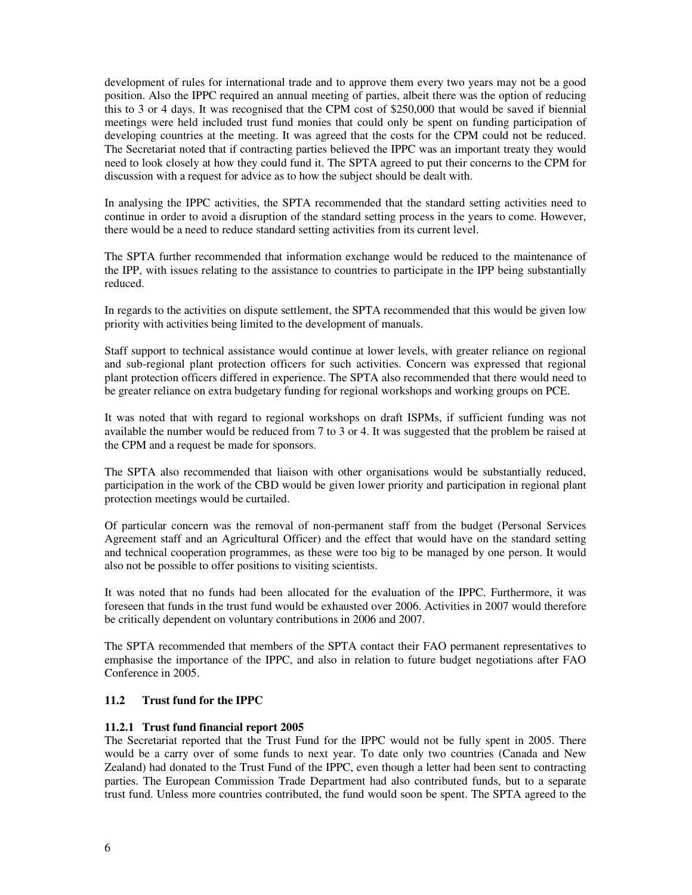development of rules for international trade and to approve them every two years may not be a good position. Also the IPPC required an annual meeting of parties, albeit there was the option of reducing this to 3 or 4 days. It was recognised that the CPM cost of \$250,000 that would be saved if biennial meetings were held included trust fund monies that could only be spent on funding participation of developing countries at the meeting. It was agreed that the costs for the CPM could not be reduced. The Secretariat noted that if contracting parties believed the IPPC was an important treaty they would need to look closely at how they could fund it. The SPTA agreed to put their concerns to the CPM for discussion with a request for advice as to how the subject should be dealt with.

In analysing the IPPC activities, the SPTA recommended that the standard setting activities need to continue in order to avoid a disruption of the standard setting process in the years to come. However, there would be a need to reduce standard setting activities from its current level.

The SPTA further recommended that information exchange would be reduced to the maintenance of the IPP, with issues relating to the assistance to countries to participate in the IPP being substantially reduced.

In regards to the activities on dispute settlement, the SPTA recommended that this would be given low priority with activities being limited to the development of manuals.

Staff support to technical assistance would continue at lower levels, with greater reliance on regional and sub-regional plant protection officers for such activities. Concern was expressed that regional plant protection officers differed in experience. The SPTA also recommended that there would need to be greater reliance on extra budgetary funding for regional workshops and working groups on PCE.

It was noted that with regard to regional workshops on draft ISPMs, if sufficient funding was not available the number would be reduced from 7 to 3 or 4. It was suggested that the problem be raised at the CPM and a request be made for sponsors.

The SPTA also recommended that liaison with other organisations would be substantially reduced, participation in the work of the CBD would be given lower priority and participation in regional plant protection meetings would be curtailed.

Of particular concern was the removal of non-permanent staff from the budget (Personal Services Agreement staff and an Agricultural Officer) and the effect that would have on the standard setting and technical cooperation programmes, as these were too big to be managed by one person. It would also not be possible to offer positions to visiting scientists.

It was noted that no funds had been allocated for the evaluation of the IPPC. Furthermore, it was foreseen that funds in the trust fund would be exhausted over 2006. Activities in 2007 would therefore be critically dependent on voluntary contributions in 2006 and 2007.

The SPTA recommended that members of the SPTA contact their FAO permanent representatives to emphasise the importance of the IPPC, and also in relation to future budget negotiations after FAO Conference in 2005.

#### **11.2 Trust fund for the IPPC**

#### **11.2.1 Trust fund financial report 2005**

The Secretariat reported that the Trust Fund for the IPPC would not be fully spent in 2005. There would be a carry over of some funds to next year. To date only two countries (Canada and New Zealand) had donated to the Trust Fund of the IPPC, even though a letter had been sent to contracting parties. The European Commission Trade Department had also contributed funds, but to a separate trust fund. Unless more countries contributed, the fund would soon be spent. The SPTA agreed to the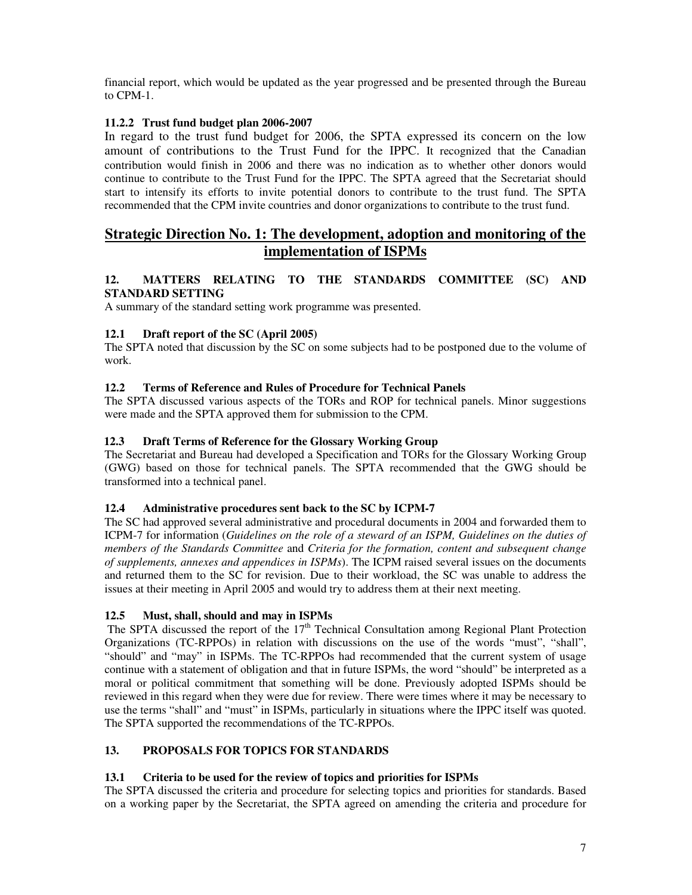financial report, which would be updated as the year progressed and be presented through the Bureau to CPM-1.

## **11.2.2 Trust fund budget plan 2006-2007**

In regard to the trust fund budget for 2006, the SPTA expressed its concern on the low amount of contributions to the Trust Fund for the IPPC. It recognized that the Canadian contribution would finish in 2006 and there was no indication as to whether other donors would continue to contribute to the Trust Fund for the IPPC. The SPTA agreed that the Secretariat should start to intensify its efforts to invite potential donors to contribute to the trust fund. The SPTA recommended that the CPM invite countries and donor organizations to contribute to the trust fund.

# **Strategic Direction No. 1: The development, adoption and monitoring of the implementation of ISPMs**

## **12. MATTERS RELATING TO THE STANDARDS COMMITTEE (SC) AND STANDARD SETTING**

A summary of the standard setting work programme was presented.

#### **12.1 Draft report of the SC (April 2005)**

The SPTA noted that discussion by the SC on some subjects had to be postponed due to the volume of work.

#### **12.2 Terms of Reference and Rules of Procedure for Technical Panels**

The SPTA discussed various aspects of the TORs and ROP for technical panels. Minor suggestions were made and the SPTA approved them for submission to the CPM.

#### **12.3 Draft Terms of Reference for the Glossary Working Group**

The Secretariat and Bureau had developed a Specification and TORs for the Glossary Working Group (GWG) based on those for technical panels. The SPTA recommended that the GWG should be transformed into a technical panel.

#### **12.4 Administrative procedures sent back to the SC by ICPM-7**

The SC had approved several administrative and procedural documents in 2004 and forwarded them to ICPM-7 for information (*Guidelines on the role of a steward of an ISPM, Guidelines on the duties of members of the Standards Committee* and *Criteria for the formation, content and subsequent change of supplements, annexes and appendices in ISPMs*). The ICPM raised several issues on the documents and returned them to the SC for revision. Due to their workload, the SC was unable to address the issues at their meeting in April 2005 and would try to address them at their next meeting.

## **12.5 Must, shall, should and may in ISPMs**

The SPTA discussed the report of the 17<sup>th</sup> Technical Consultation among Regional Plant Protection Organizations (TC-RPPOs) in relation with discussions on the use of the words "must", "shall", "should" and "may" in ISPMs. The TC-RPPOs had recommended that the current system of usage continue with a statement of obligation and that in future ISPMs, the word "should" be interpreted as a moral or political commitment that something will be done. Previously adopted ISPMs should be reviewed in this regard when they were due for review. There were times where it may be necessary to use the terms "shall" and "must" in ISPMs, particularly in situations where the IPPC itself was quoted. The SPTA supported the recommendations of the TC-RPPOs.

#### **13. PROPOSALS FOR TOPICS FOR STANDARDS**

## **13.1 Criteria to be used for the review of topics and priorities for ISPMs**

The SPTA discussed the criteria and procedure for selecting topics and priorities for standards. Based on a working paper by the Secretariat, the SPTA agreed on amending the criteria and procedure for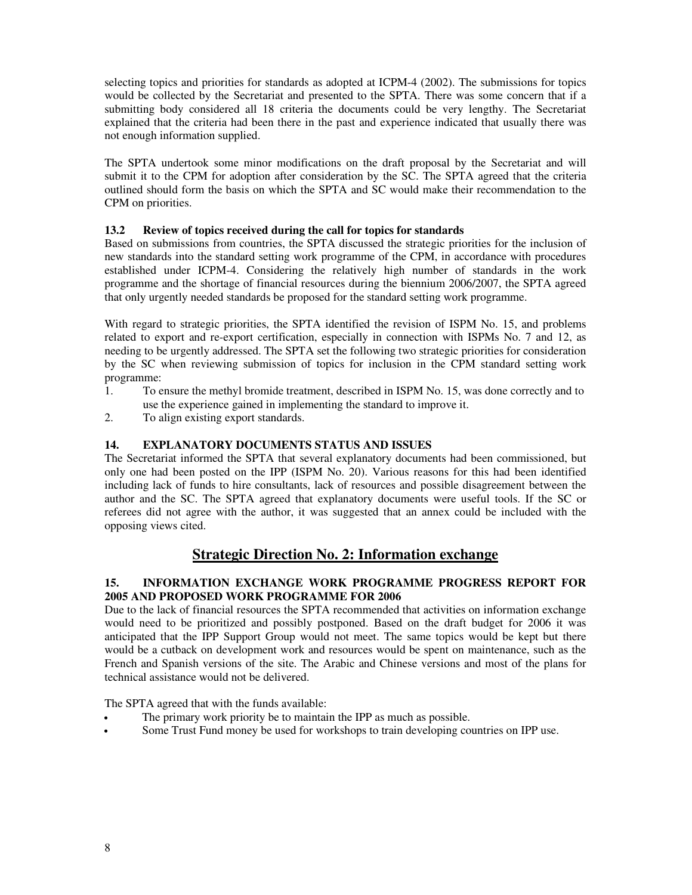selecting topics and priorities for standards as adopted at ICPM-4 (2002). The submissions for topics would be collected by the Secretariat and presented to the SPTA. There was some concern that if a submitting body considered all 18 criteria the documents could be very lengthy. The Secretariat explained that the criteria had been there in the past and experience indicated that usually there was not enough information supplied.

The SPTA undertook some minor modifications on the draft proposal by the Secretariat and will submit it to the CPM for adoption after consideration by the SC. The SPTA agreed that the criteria outlined should form the basis on which the SPTA and SC would make their recommendation to the CPM on priorities.

## **13.2 Review of topics received during the call for topics for standards**

Based on submissions from countries, the SPTA discussed the strategic priorities for the inclusion of new standards into the standard setting work programme of the CPM, in accordance with procedures established under ICPM-4. Considering the relatively high number of standards in the work programme and the shortage of financial resources during the biennium 2006/2007, the SPTA agreed that only urgently needed standards be proposed for the standard setting work programme.

With regard to strategic priorities, the SPTA identified the revision of ISPM No. 15, and problems related to export and re-export certification, especially in connection with ISPMs No. 7 and 12, as needing to be urgently addressed. The SPTA set the following two strategic priorities for consideration by the SC when reviewing submission of topics for inclusion in the CPM standard setting work programme:

- 1. To ensure the methyl bromide treatment, described in ISPM No. 15, was done correctly and to use the experience gained in implementing the standard to improve it.
- 2. To align existing export standards.

#### **14. EXPLANATORY DOCUMENTS STATUS AND ISSUES**

The Secretariat informed the SPTA that several explanatory documents had been commissioned, but only one had been posted on the IPP (ISPM No. 20). Various reasons for this had been identified including lack of funds to hire consultants, lack of resources and possible disagreement between the author and the SC. The SPTA agreed that explanatory documents were useful tools. If the SC or referees did not agree with the author, it was suggested that an annex could be included with the opposing views cited.

# **Strategic Direction No. 2: Information exchange**

#### **15. INFORMATION EXCHANGE WORK PROGRAMME PROGRESS REPORT FOR 2005 AND PROPOSED WORK PROGRAMME FOR 2006**

Due to the lack of financial resources the SPTA recommended that activities on information exchange would need to be prioritized and possibly postponed. Based on the draft budget for 2006 it was anticipated that the IPP Support Group would not meet. The same topics would be kept but there would be a cutback on development work and resources would be spent on maintenance, such as the French and Spanish versions of the site. The Arabic and Chinese versions and most of the plans for technical assistance would not be delivered.

The SPTA agreed that with the funds available:

- The primary work priority be to maintain the IPP as much as possible.
- Some Trust Fund money be used for workshops to train developing countries on IPP use.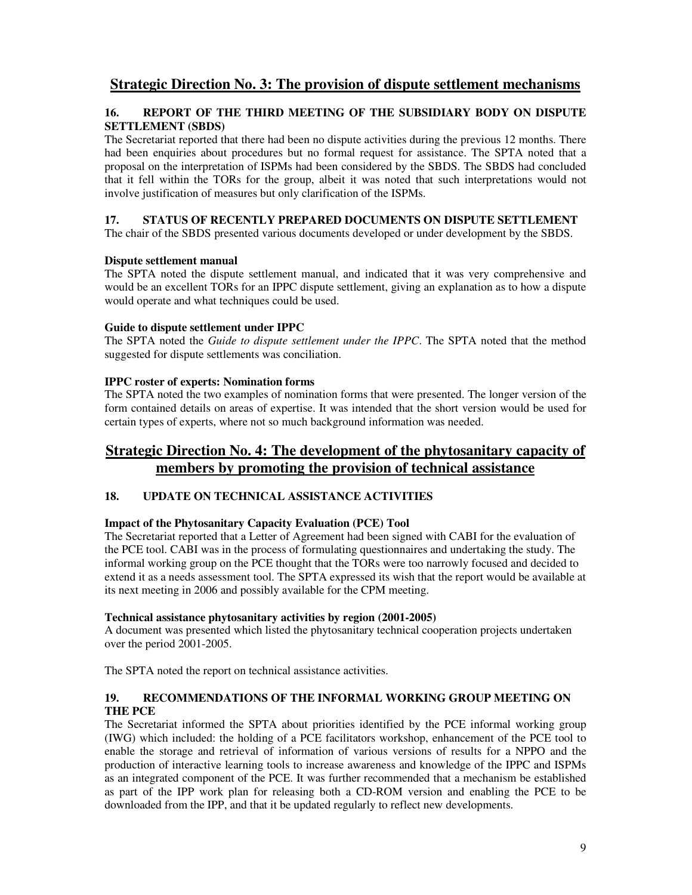# **Strategic Direction No. 3: The provision of dispute settlement mechanisms**

#### **16. REPORT OF THE THIRD MEETING OF THE SUBSIDIARY BODY ON DISPUTE SETTLEMENT (SBDS)**

The Secretariat reported that there had been no dispute activities during the previous 12 months. There had been enquiries about procedures but no formal request for assistance. The SPTA noted that a proposal on the interpretation of ISPMs had been considered by the SBDS. The SBDS had concluded that it fell within the TORs for the group, albeit it was noted that such interpretations would not involve justification of measures but only clarification of the ISPMs.

## **17. STATUS OF RECENTLY PREPARED DOCUMENTS ON DISPUTE SETTLEMENT**

The chair of the SBDS presented various documents developed or under development by the SBDS.

## **Dispute settlement manual**

The SPTA noted the dispute settlement manual, and indicated that it was very comprehensive and would be an excellent TORs for an IPPC dispute settlement, giving an explanation as to how a dispute would operate and what techniques could be used.

#### **Guide to dispute settlement under IPPC**

The SPTA noted the *Guide to dispute settlement under the IPPC*. The SPTA noted that the method suggested for dispute settlements was conciliation.

## **IPPC roster of experts: Nomination forms**

The SPTA noted the two examples of nomination forms that were presented. The longer version of the form contained details on areas of expertise. It was intended that the short version would be used for certain types of experts, where not so much background information was needed.

# **Strategic Direction No. 4: The development of the phytosanitary capacity of members by promoting the provision of technical assistance**

## **18. UPDATE ON TECHNICAL ASSISTANCE ACTIVITIES**

## **Impact of the Phytosanitary Capacity Evaluation (PCE) Tool**

The Secretariat reported that a Letter of Agreement had been signed with CABI for the evaluation of the PCE tool. CABI was in the process of formulating questionnaires and undertaking the study. The informal working group on the PCE thought that the TORs were too narrowly focused and decided to extend it as a needs assessment tool. The SPTA expressed its wish that the report would be available at its next meeting in 2006 and possibly available for the CPM meeting.

## **Technical assistance phytosanitary activities by region (2001-2005)**

A document was presented which listed the phytosanitary technical cooperation projects undertaken over the period 2001-2005.

The SPTA noted the report on technical assistance activities.

## **19. RECOMMENDATIONS OF THE INFORMAL WORKING GROUP MEETING ON THE PCE**

The Secretariat informed the SPTA about priorities identified by the PCE informal working group (IWG) which included: the holding of a PCE facilitators workshop, enhancement of the PCE tool to enable the storage and retrieval of information of various versions of results for a NPPO and the production of interactive learning tools to increase awareness and knowledge of the IPPC and ISPMs as an integrated component of the PCE. It was further recommended that a mechanism be established as part of the IPP work plan for releasing both a CD-ROM version and enabling the PCE to be downloaded from the IPP, and that it be updated regularly to reflect new developments.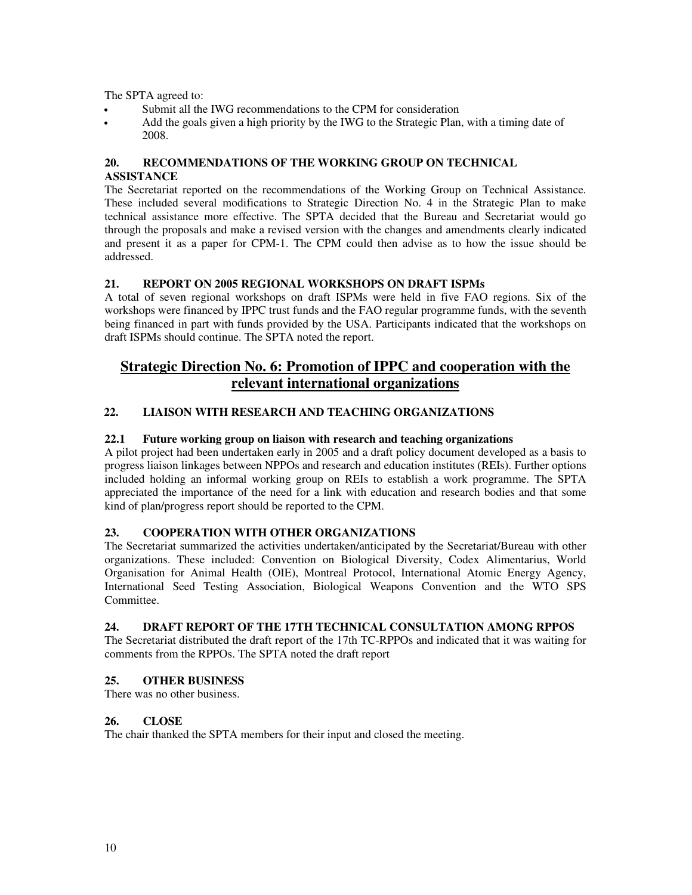The SPTA agreed to:

- Submit all the IWG recommendations to the CPM for consideration
- Add the goals given a high priority by the IWG to the Strategic Plan, with a timing date of 2008.

#### **20. RECOMMENDATIONS OF THE WORKING GROUP ON TECHNICAL ASSISTANCE**

The Secretariat reported on the recommendations of the Working Group on Technical Assistance. These included several modifications to Strategic Direction No. 4 in the Strategic Plan to make technical assistance more effective. The SPTA decided that the Bureau and Secretariat would go through the proposals and make a revised version with the changes and amendments clearly indicated and present it as a paper for CPM-1. The CPM could then advise as to how the issue should be addressed.

## **21. REPORT ON 2005 REGIONAL WORKSHOPS ON DRAFT ISPMs**

A total of seven regional workshops on draft ISPMs were held in five FAO regions. Six of the workshops were financed by IPPC trust funds and the FAO regular programme funds, with the seventh being financed in part with funds provided by the USA. Participants indicated that the workshops on draft ISPMs should continue. The SPTA noted the report.

# **Strategic Direction No. 6: Promotion of IPPC and cooperation with the relevant international organizations**

## **22. LIAISON WITH RESEARCH AND TEACHING ORGANIZATIONS**

#### **22.1 Future working group on liaison with research and teaching organizations**

A pilot project had been undertaken early in 2005 and a draft policy document developed as a basis to progress liaison linkages between NPPOs and research and education institutes (REIs). Further options included holding an informal working group on REIs to establish a work programme. The SPTA appreciated the importance of the need for a link with education and research bodies and that some kind of plan/progress report should be reported to the CPM.

#### **23. COOPERATION WITH OTHER ORGANIZATIONS**

The Secretariat summarized the activities undertaken/anticipated by the Secretariat/Bureau with other organizations. These included: Convention on Biological Diversity, Codex Alimentarius, World Organisation for Animal Health (OIE), Montreal Protocol, International Atomic Energy Agency, International Seed Testing Association, Biological Weapons Convention and the WTO SPS **Committee** 

#### **24. DRAFT REPORT OF THE 17TH TECHNICAL CONSULTATION AMONG RPPOS**

The Secretariat distributed the draft report of the 17th TC-RPPOs and indicated that it was waiting for comments from the RPPOs. The SPTA noted the draft report

## **25. OTHER BUSINESS**

There was no other business.

## **26. CLOSE**

The chair thanked the SPTA members for their input and closed the meeting.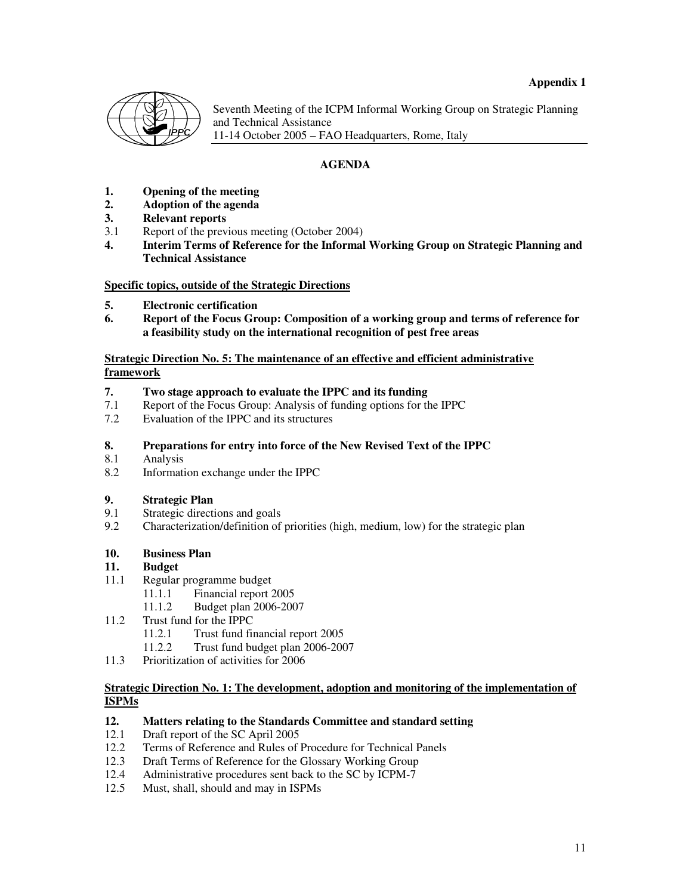#### **Appendix 1**



Seventh Meeting of the ICPM Informal Working Group on Strategic Planning and Technical Assistance 11-14 October 2005 – FAO Headquarters, Rome, Italy

# **AGENDA**

- **1. Opening of the meeting**<br>**2. Adoption of the agenda**
- 2. **Adoption of the agenda**<br>3. **Relevant reports**
- **3. Relevant reports**
- Report of the previous meeting (October 2004)
- **4. Interim Terms of Reference for the Informal Working Group on Strategic Planning and Technical Assistance**

#### **Specific topics, outside of the Strategic Directions**

- **5. Electronic certification**
- **6. Report of the Focus Group: Composition of a working group and terms of reference for a feasibility study on the international recognition of pest free areas**

#### **Strategic Direction No. 5: The maintenance of an effective and efficient administrative framework**

- **7. Two stage approach to evaluate the IPPC and its funding**
- Report of the Focus Group: Analysis of funding options for the IPPC
- 7.2 Evaluation of the IPPC and its structures

# **8. Preparations for entry into force of the New Revised Text of the IPPC**

- **Analysis**
- 8.2 Information exchange under the IPPC

#### **9. Strategic Plan**

- 9.1 Strategic directions and goals
- 9.2 Characterization/definition of priorities (high, medium, low) for the strategic plan

# **10. Business Plan**

# **11. Budget**

- Regular programme budget
	- 11.1.1 Financial report 2005
		- 11.1.2 Budget plan 2006-2007
- 11.2 Trust fund for the IPPC
	-
	- 11.2.1 Trust fund financial report 2005<br>11.2.2 Trust fund budget plan 2006-200 Trust fund budget plan 2006-2007
- 11.3 Prioritization of activities for 2006

#### **Strategic Direction No. 1: The development, adoption and monitoring of the implementation of ISPMs**

## **12. Matters relating to the Standards Committee and standard setting**

- 12.1 Draft report of the SC April 2005
- 12.2 Terms of Reference and Rules of Procedure for Technical Panels
- 12.3 Draft Terms of Reference for the Glossary Working Group
- 12.4 Administrative procedures sent back to the SC by ICPM-7
- 12.5 Must, shall, should and may in ISPMs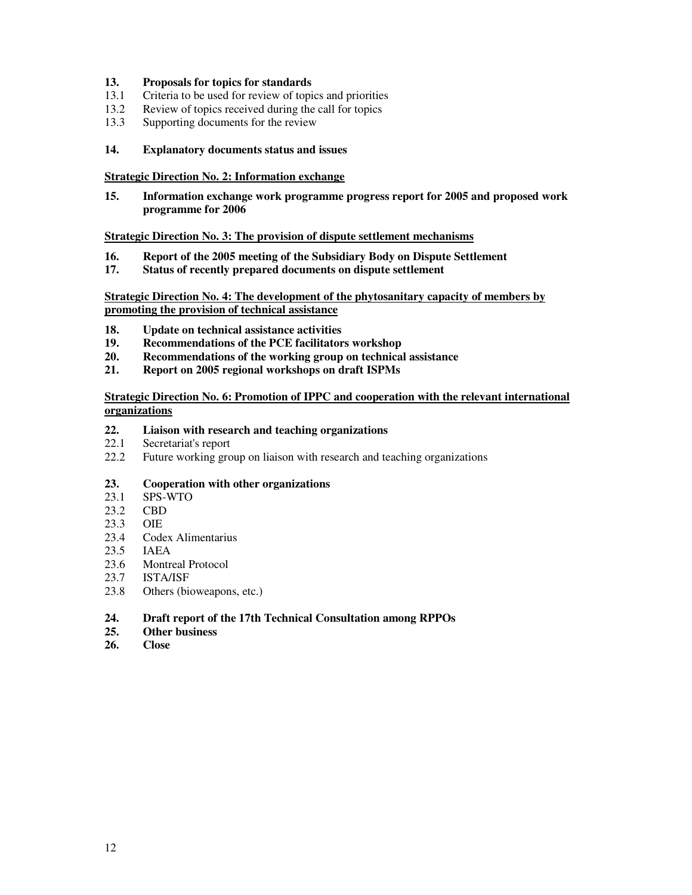# **13. Proposals for topics for standards**<br>13.1 Criteria to be used for review of topi

- 13.1 Criteria to be used for review of topics and priorities
- 13.2 Review of topics received during the call for topics
- 13.3 Supporting documents for the review
- **14. Explanatory documents status and issues**

#### **Strategic Direction No. 2: Information exchange**

**15. Information exchange work programme progress report for 2005 and proposed work programme for 2006**

#### **Strategic Direction No. 3: The provision of dispute settlement mechanisms**

- **16. Report of the 2005 meeting of the Subsidiary Body on Dispute Settlement**
- **17. Status of recently prepared documents on dispute settlement**

#### **Strategic Direction No. 4: The development of the phytosanitary capacity of members by promoting the provision of technical assistance**

- **18. Update on technical assistance activities**
- **19. Recommendations of the PCE facilitators workshop**
- **20. Recommendations of the working group on technical assistance**
- **21. Report on 2005 regional workshops on draft ISPMs**

#### **Strategic Direction No. 6: Promotion of IPPC and cooperation with the relevant international organizations**

- **22. Liaison with research and teaching organizations**
- Secretariat's report
- 22.2 Future working group on liaison with research and teaching organizations

# **23. Cooperation with other organizations**

- SPS-WTO
- 23.2 CBD
- 23.3 OIE
- 23.4 Codex Alimentarius
- 23.5 IAEA
- 23.6 Montreal Protocol<br>23.7 ISTA/ISF
- ISTA/ISF
- 23.8 Others (bioweapons, etc.)
- **24. Draft report of the 17th Technical Consultation among RPPOs**
- **25. Other business**
- **26. Close**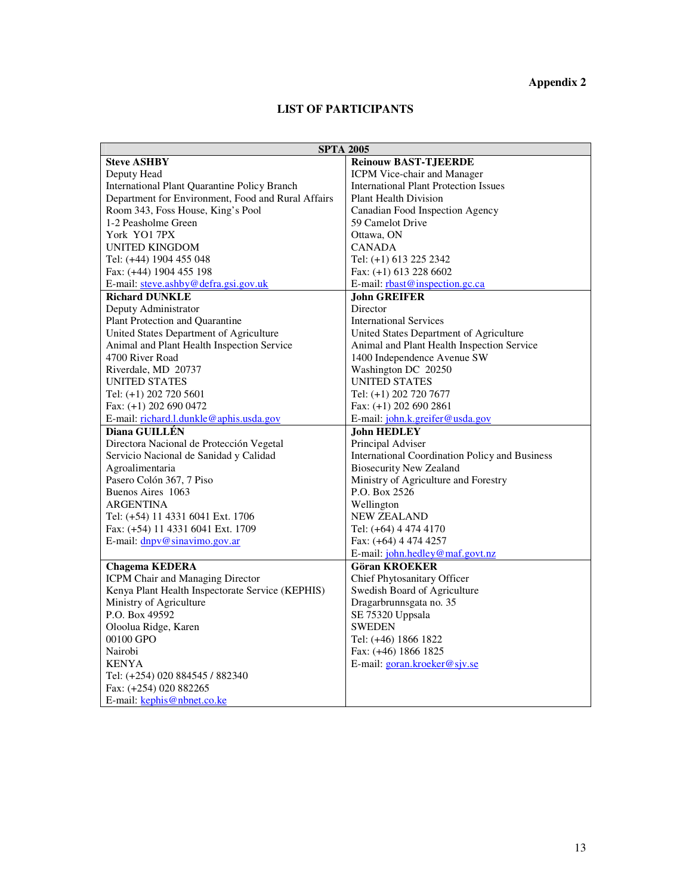**Appendix 2**

# **LIST OF PARTICIPANTS**

| <b>SPTA 2005</b>                                   |                                                       |
|----------------------------------------------------|-------------------------------------------------------|
| <b>Steve ASHBY</b>                                 | <b>Reinouw BAST-TJEERDE</b>                           |
| Deputy Head                                        | ICPM Vice-chair and Manager                           |
| International Plant Quarantine Policy Branch       | <b>International Plant Protection Issues</b>          |
| Department for Environment, Food and Rural Affairs | <b>Plant Health Division</b>                          |
| Room 343, Foss House, King's Pool                  | Canadian Food Inspection Agency                       |
| 1-2 Peasholme Green                                | 59 Camelot Drive                                      |
| York YO1 7PX                                       | Ottawa, ON                                            |
| UNITED KINGDOM                                     | <b>CANADA</b>                                         |
| Tel: (+44) 1904 455 048                            | Tel: (+1) 613 225 2342                                |
| Fax: (+44) 1904 455 198                            | Fax: (+1) 613 228 6602                                |
| E-mail: steve.ashby@defra.gsi.gov.uk               | E-mail: rbast@inspection.gc.ca                        |
| <b>Richard DUNKLE</b>                              | John GREIFER                                          |
| Deputy Administrator                               | Director                                              |
| Plant Protection and Quarantine                    | <b>International Services</b>                         |
| United States Department of Agriculture            | United States Department of Agriculture               |
| Animal and Plant Health Inspection Service         | Animal and Plant Health Inspection Service            |
| 4700 River Road                                    | 1400 Independence Avenue SW                           |
| Riverdale, MD 20737                                | Washington DC 20250                                   |
| <b>UNITED STATES</b>                               | <b>UNITED STATES</b>                                  |
| Tel: (+1) 202 720 5601                             | Tel: (+1) 202 720 7677                                |
| Fax: (+1) 202 690 0472                             | Fax: (+1) 202 690 2861                                |
| E-mail: richard.l.dunkle@aphis.usda.gov            | E-mail: john.k.greifer@usda.gov                       |
| Diana GUILLÉN                                      | <b>John HEDLEY</b>                                    |
| Directora Nacional de Protección Vegetal           | Principal Adviser                                     |
| Servicio Nacional de Sanidad y Calidad             | <b>International Coordination Policy and Business</b> |
| Agroalimentaria                                    | <b>Biosecurity New Zealand</b>                        |
| Pasero Colón 367, 7 Piso                           | Ministry of Agriculture and Forestry                  |
| Buenos Aires 1063                                  | P.O. Box 2526                                         |
| <b>ARGENTINA</b>                                   | Wellington                                            |
| Tel: (+54) 11 4331 6041 Ext. 1706                  | <b>NEW ZEALAND</b>                                    |
| Fax: (+54) 11 4331 6041 Ext. 1709                  | Tel: (+64) 4 474 4170                                 |
|                                                    |                                                       |
| E-mail: dnpv@sinavimo.gov.ar                       | Fax: (+64) 4 474 4257                                 |
|                                                    | E-mail: john.hedley@maf.govt.nz                       |
| <b>Chagema KEDERA</b>                              | <b>Göran KROEKER</b>                                  |
| <b>ICPM</b> Chair and Managing Director            | Chief Phytosanitary Officer                           |
| Kenya Plant Health Inspectorate Service (KEPHIS)   | Swedish Board of Agriculture                          |
| Ministry of Agriculture                            | Dragarbrunnsgata no. 35                               |
| P.O. Box 49592                                     | SE 75320 Uppsala                                      |
| Oloolua Ridge, Karen                               | <b>SWEDEN</b>                                         |
| 00100 GPO                                          | Tel: (+46) 1866 1822                                  |
| Nairobi                                            | Fax: (+46) 1866 1825                                  |
| <b>KENYA</b>                                       | E-mail: goran.kroeker@sjv.se                          |
| Tel: (+254) 020 884545 / 882340                    |                                                       |
| Fax: (+254) 020 882265                             |                                                       |
| E-mail: kephis@nbnet.co.ke                         |                                                       |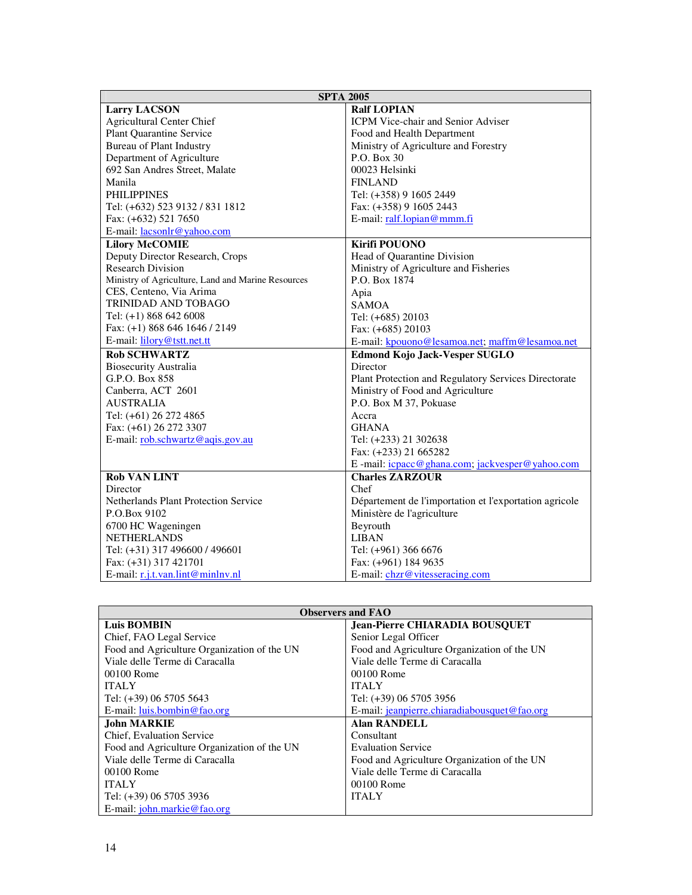| <b>SPTA 2005</b>                                   |                                                        |
|----------------------------------------------------|--------------------------------------------------------|
| <b>Larry LACSON</b>                                | <b>Ralf LOPIAN</b>                                     |
| <b>Agricultural Center Chief</b>                   | <b>ICPM Vice-chair and Senior Adviser</b>              |
| <b>Plant Quarantine Service</b>                    | Food and Health Department                             |
| <b>Bureau of Plant Industry</b>                    | Ministry of Agriculture and Forestry                   |
| Department of Agriculture                          | P.O. Box 30                                            |
| 692 San Andres Street, Malate                      | 00023 Helsinki                                         |
| Manila                                             | <b>FINLAND</b>                                         |
| <b>PHILIPPINES</b>                                 | Tel: (+358) 9 1605 2449                                |
| Tel: (+632) 523 9132 / 831 1812                    | Fax: (+358) 9 1605 2443                                |
| Fax: (+632) 521 7650                               | E-mail: ralf.lopian@mmm.fi                             |
| E-mail: lacsonlr@yahoo.com                         |                                                        |
| <b>Lilory McCOMIE</b>                              | <b>Kirifi POUONO</b>                                   |
| Deputy Director Research, Crops                    | Head of Quarantine Division                            |
| <b>Research Division</b>                           | Ministry of Agriculture and Fisheries                  |
| Ministry of Agriculture, Land and Marine Resources | P.O. Box 1874                                          |
| CES, Centeno, Via Arima                            | Apia                                                   |
| <b>TRINIDAD AND TOBAGO</b>                         | <b>SAMOA</b>                                           |
| Tel: (+1) 868 642 6008                             | Tel: (+685) 20103                                      |
| Fax: (+1) 868 646 1646 / 2149                      | Fax: (+685) 20103                                      |
| E-mail: <i>lilory@tstt.net.tt</i>                  | E-mail: kpouono@lesamoa.net; maffm@lesamoa.net         |
| <b>Rob SCHWARTZ</b>                                | <b>Edmond Kojo Jack-Vesper SUGLO</b>                   |
| <b>Biosecurity Australia</b>                       | Director                                               |
| G.P.O. Box 858                                     | Plant Protection and Regulatory Services Directorate   |
| Canberra, ACT 2601                                 | Ministry of Food and Agriculture                       |
| <b>AUSTRALIA</b>                                   | P.O. Box M 37, Pokuase                                 |
| Tel: (+61) 26 272 4865                             | Accra                                                  |
| Fax: (+61) 26 272 3307                             | <b>GHANA</b>                                           |
| E-mail: rob.schwartz@aqis.gov.au                   | Tel: (+233) 21 302638                                  |
|                                                    | Fax: (+233) 21 665282                                  |
|                                                    | E-mail: icpacc@ghana.com; jackvesper@yahoo.com         |
| <b>Rob VAN LINT</b>                                | <b>Charles ZARZOUR</b>                                 |
| Director                                           | Chef                                                   |
| <b>Netherlands Plant Protection Service</b>        | Département de l'importation et l'exportation agricole |
| P.O.Box 9102                                       | Ministère de l'agriculture                             |
| 6700 HC Wageningen                                 | Beyrouth                                               |
| <b>NETHERLANDS</b>                                 | <b>LIBAN</b>                                           |
| Tel: (+31) 317 496600 / 496601                     | Tel: (+961) 366 6676                                   |
| Fax: (+31) 317 421701                              | Fax: (+961) 184 9635                                   |
| E-mail: r.j.t.van.lint@minlnv.nl                   | E-mail: chzr@vitesseracing.com                         |

| <b>Observers and FAO</b>                    |                                              |  |
|---------------------------------------------|----------------------------------------------|--|
| <b>Luis BOMBIN</b>                          | <b>Jean-Pierre CHIARADIA BOUSQUET</b>        |  |
| Chief, FAO Legal Service                    | Senior Legal Officer                         |  |
| Food and Agriculture Organization of the UN | Food and Agriculture Organization of the UN  |  |
| Viale delle Terme di Caracalla              | Viale delle Terme di Caracalla               |  |
| 00100 Rome                                  | 00100 Rome                                   |  |
| <b>ITALY</b>                                | <b>ITALY</b>                                 |  |
| Tel: (+39) 06 5705 5643                     | Tel: (+39) 06 5705 3956                      |  |
| E-mail: $luis.bombin@fao.org$               | E-mail: jeanpierre.chiaradiabousquet@fao.org |  |
| <b>John MARKIE</b>                          | <b>Alan RANDELL</b>                          |  |
| Chief, Evaluation Service                   | Consultant                                   |  |
| Food and Agriculture Organization of the UN | <b>Evaluation Service</b>                    |  |
| Viale delle Terme di Caracalla              | Food and Agriculture Organization of the UN  |  |
| 00100 Rome                                  | Viale delle Terme di Caracalla               |  |
| <b>ITALY</b>                                | 00100 Rome                                   |  |
| Tel: (+39) 06 5705 3936                     | <b>ITALY</b>                                 |  |
| E-mail: john.markie@fao.org                 |                                              |  |